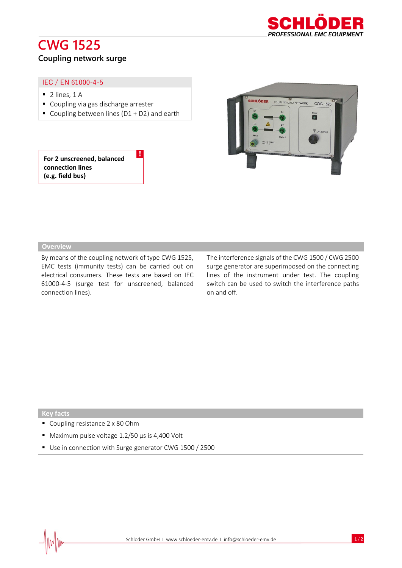# **CWG 1525**



### **Coupling network surge**

#### IEC / EN 61000-4-5

- $\blacksquare$  2 lines, 1 A
- Coupling via gas discharge arrester
- Coupling between lines (D1 + D2) and earth

!

#### **For 2 unscreened, balanced connection lines (e.g. field bus)**



#### **Overview**

By means of the coupling network of type CWG 1525, EMC tests (immunity tests) can be carried out on electrical consumers. These tests are based on IEC 61000-4-5 (surge test for unscreened, balanced connection lines).

The interference signals of the CWG 1500 / CWG 2500 surge generator are superimposed on the connecting lines of the instrument under test. The coupling switch can be used to switch the interference paths on and off.

#### **Key facts**

- Coupling resistance 2 x 80 Ohm
- Maximum pulse voltage 1.2/50 µs is 4,400 Volt
- Use in connection with Surge generator CWG 1500 / 2500